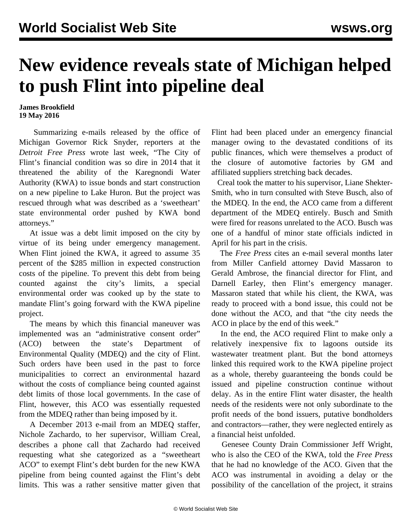## **New evidence reveals state of Michigan helped to push Flint into pipeline deal**

## **James Brookfield 19 May 2016**

 Summarizing e-mails released by the office of Michigan Governor Rick Snyder, reporters at the *Detroit Free Press* wrote last week, "The City of Flint's financial condition was so dire in 2014 that it threatened the ability of the Karegnondi Water Authority (KWA) to issue bonds and start construction on a new pipeline to Lake Huron. But the project was rescued through what was described as a 'sweetheart' state environmental order pushed by KWA bond attorneys."

 At issue was a debt limit imposed on the city by virtue of its being under emergency management. When Flint joined the KWA, it agreed to assume 35 percent of the \$285 million in expected construction costs of the pipeline. To prevent this debt from being counted against the city's limits, a special environmental order was cooked up by the state to mandate Flint's going forward with the KWA pipeline project.

 The means by which this financial maneuver was implemented was an "administrative consent order" (ACO) between the state's Department of Environmental Quality (MDEQ) and the city of Flint. Such orders have been used in the past to force municipalities to correct an environmental hazard without the costs of compliance being counted against debt limits of those local governments. In the case of Flint, however, this ACO was essentially requested from the MDEQ rather than being imposed by it.

 A December 2013 e-mail from an MDEQ staffer, Nichole Zachardo, to her supervisor, William Creal, describes a phone call that Zachardo had received requesting what she categorized as a "sweetheart ACO" to exempt Flint's debt burden for the new KWA pipeline from being counted against the Flint's debt limits. This was a rather sensitive matter given that

Flint had been placed under an emergency financial manager owing to the devastated conditions of its public finances, which were themselves a product of the closure of automotive factories by GM and affiliated suppliers stretching back decades.

 Creal took the matter to his supervisor, Liane Shekter-Smith, who in turn consulted with Steve Busch, also of the MDEQ. In the end, the ACO came from a different department of the MDEQ entirely. Busch and Smith were fired for reasons unrelated to the ACO. Busch was one of a handful of minor state officials indicted in April for his part in the crisis.

 The *Free Press* cites an e-mail several months later from Miller Canfield attorney David Massaron to Gerald Ambrose, the financial director for Flint, and Darnell Earley, then Flint's emergency manager. Massaron stated that while his client, the KWA, was ready to proceed with a bond issue, this could not be done without the ACO, and that "the city needs the ACO in place by the end of this week."

 In the end, the ACO required Flint to make only a relatively inexpensive fix to lagoons outside its wastewater treatment plant. But the bond attorneys linked this required work to the KWA pipeline project as a whole, thereby guaranteeing the bonds could be issued and pipeline construction continue without delay. As in the entire Flint water disaster, the health needs of the residents were not only subordinate to the profit needs of the bond issuers, putative bondholders and contractors—rather, they were neglected entirely as a financial heist unfolded.

 Genesee County Drain Commissioner Jeff Wright, who is also the CEO of the KWA, told the *Free Press* that he had no knowledge of the ACO. Given that the ACO was instrumental in avoiding a delay or the possibility of the cancellation of the project, it strains